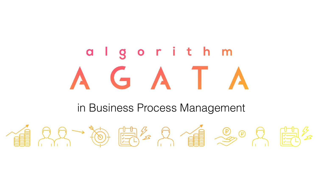## in Business Process Management





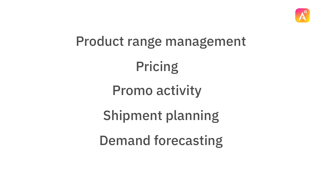## Product range management

Pricing



- 
- Promo activity
- Shipment planning Demand forecasting

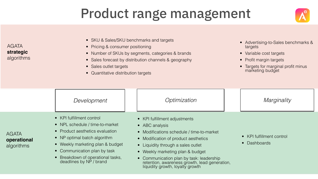## Product range management

### AGATA **strategic**  algorithms

- SKU & Sales/SKU benchmarks and targets
- Pricing & consumer positioning
- Number of SKUs by segments, categories & brands
- Sales forecast by distribution channels & geography
- Sales outlet targets
- Quantitative distribution targets

AGATA **operational**  algorithms • KPI fulfillment control • NPL schedule / time-to-market • Product aesthetics evaluation • NP optimal batch algorithm • Weekly marketing plan & budget • Communication plan by task *Development Optimization Marginality*

• Breakdown of operational tasks, deadlines by NP / brand

- KPI fulfillment adjustments
- ABC analysis
- Modifications schedule / time-to-market
- Modification of product aesthetics
- Liquidity through a sales outlet
- Weekly marketing plan & budget
- 

• Communication plan by task: leadership retention, awareness growth, lead generation, liquidity growth, loyalty growth

- Advertising-to-Sales benchmarks & targets • Variable cost targets
- Profit margin targets
- Targets for marginal profit minus marketing budget

- KPI fulfillment control
- Dashboards



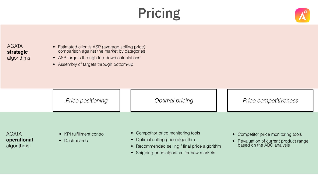





- Estimated client's ASP (average selling price) comparison against the market by categories
- ASP targets through top-down calculations
- Assembly of targets through bottom-up

- 
- Optimal selling price algorithm
- Recommended selling / final price algorithm
- Shipping price algorithm for new markets
- KPI fulfillment control
- Dashboards

### AGATA **strategic**  algorithms

AGATA **operational**  algorithms

*Price positioning Optimal pricing Price competitiveness*

• Competitor price monitoring tools

- Competitor price monitoring tools
- Revaluation of current product range based on the ABC analysis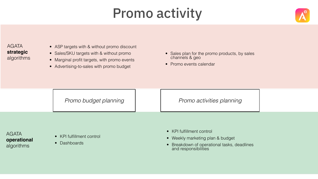## Promo activity

- ASP targets with & without promo discount
- Sales/SKU targets with & without promo
- Marginal profit targets, with promo events
- Advertising-to-sales with promo budget

- KPI fulfillment control
- Weekly marketing plan & budget
- Breakdown of operational tasks, deadlines and responsibilities



### AGATA **strategic**  algorithms

AGATA **operational**  algorithms

- KPI fulfillment control
- Dashboards
- Sales plan for the promo products, by sales channels & geo
- Promo events calendar

## Promo budget planning | Promo activities planning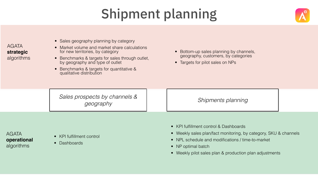- Sales geography planning by category
- Market volume and market share calculations for new territories, by category
- Benchmarks & targets for sales through outlet, by geography and type of outlet
- Benchmarks & targets for quantitative & qualitative distribution

- KPI fulfillment control & Dashboards
- Weekly sales plan/fact monitoring, by category, SKU & channels
- NPL schedule and modifications / time-to-market
- NP optimal batch
- Weekly pilot sales plan & production plan adjustments



- Bottom-up sales planning by channels, geography, customers, by categories
- Targets for pilot sales on NPs

# Shipment planning

### AGATA **strategic**  algorithms

AGATA **operational**  algorithms

*Sales prospects by channels & geography Shipments planning*

- KPI fulfillment control
- Dashboards